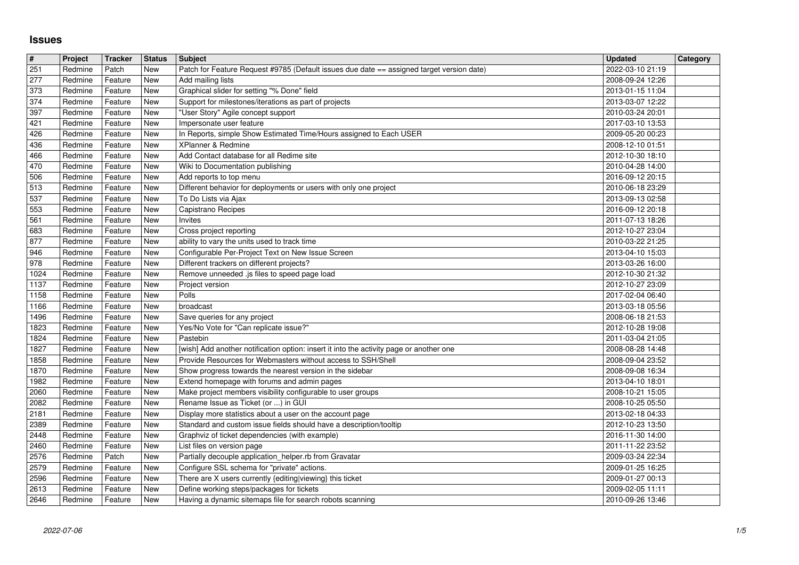## **Issues**

| $\#$         | Project            | Tracker            | <b>Status</b> | Subject                                                                                                                  | <b>Updated</b>                       | Category |
|--------------|--------------------|--------------------|---------------|--------------------------------------------------------------------------------------------------------------------------|--------------------------------------|----------|
| 251<br>277   | Redmine<br>Redmine | Patch<br>Feature   | New<br>New    | Patch for Feature Request #9785 (Default issues due date == assigned target version date)<br>Add mailing lists           | 2022-03-10 21:19<br>2008-09-24 12:26 |          |
| 373          | Redmine            | Feature            | New           | Graphical slider for setting "% Done" field                                                                              | 2013-01-15 11:04                     |          |
| 374          | Redmine            | Feature            | New           | Support for milestones/iterations as part of projects                                                                    | 2013-03-07 12:22                     |          |
| 397          | Redmine            | Feature            | New           | "User Story" Agile concept support                                                                                       | 2010-03-24 20:01                     |          |
| 421<br>426   | Redmine<br>Redmine | Feature<br>Feature | New<br>New    | Impersonate user feature<br>In Reports, simple Show Estimated Time/Hours assigned to Each USER                           | 2017-03-10 13:53<br>2009-05-20 00:23 |          |
| 436          | Redmine            | Feature            | New           | XPlanner & Redmine                                                                                                       | 2008-12-10 01:51                     |          |
| 466          | Redmine            | Feature            | New           | Add Contact database for all Redime site                                                                                 | 2012-10-30 18:10                     |          |
| 470<br>506   | Redmine<br>Redmine | Feature<br>Feature | New<br>New    | Wiki to Documentation publishing<br>Add reports to top menu                                                              | 2010-04-28 14:00<br>2016-09-12 20:15 |          |
| 513          | Redmine            | Feature            | New           | Different behavior for deployments or users with only one project                                                        | 2010-06-18 23:29                     |          |
| 537          | Redmine            | Feature            | New           | To Do Lists via Ajax                                                                                                     | 2013-09-13 02:58                     |          |
| 553<br>561   | Redmine<br>Redmine | Feature<br>Feature | New<br>New    | Capistrano Recipes<br>Invites                                                                                            | 2016-09-12 20:18<br>2011-07-13 18:26 |          |
| 683          | Redmine            | Feature            | New           | Cross project reporting                                                                                                  | 2012-10-27 23:04                     |          |
| 877          | Redmine            | Feature            | New           | ability to vary the units used to track time                                                                             | 2010-03-22 21:25                     |          |
| 946          | Redmine            | Feature            | New           | Configurable Per-Project Text on New Issue Screen                                                                        | 2013-04-10 15:03                     |          |
| 978<br>1024  | Redmine<br>Redmine | Feature<br>Feature | New<br>New    | Different trackers on different projects?<br>Remove unneeded .js files to speed page load                                | 2013-03-26 16:00<br>2012-10-30 21:32 |          |
| 1137         | Redmine            | Feature            | New           | Project version                                                                                                          | 2012-10-27 23:09                     |          |
| 1158         | Redmine            | Feature            | New           | Polls                                                                                                                    | 2017-02-04 06:40                     |          |
| 1166<br>1496 | Redmine<br>Redmine | Feature<br>Feature | New<br>New    | broadcast<br>Save queries for any project                                                                                | 2013-03-18 05:56<br>2008-06-18 21:53 |          |
| 1823         | Redmine            | Feature            | New           | Yes/No Vote for "Can replicate issue?"                                                                                   | 2012-10-28 19:08                     |          |
| 1824         | Redmine            | Feature            | New           | Pastebin                                                                                                                 | 2011-03-04 21:05                     |          |
| 1827         | Redmine            | Feature            | New           | [wish] Add another notification option: insert it into the activity page or another one                                  | 2008-08-28 14:48                     |          |
| 1858<br>1870 | Redmine<br>Redmine | Feature<br>Feature | New<br>New    | Provide Resources for Webmasters without access to SSH/Shell<br>Show progress towards the nearest version in the sidebar | 2008-09-04 23:52<br>2008-09-08 16:34 |          |
| 1982         | Redmine            | Feature            | New           | Extend homepage with forums and admin pages                                                                              | 2013-04-10 18:01                     |          |
| 2060         | Redmine            | Feature            | New           | Make project members visibility configurable to user groups                                                              | 2008-10-21 15:05                     |          |
| 2082<br>2181 | Redmine<br>Redmine | Feature<br>Feature | New<br>New    | Rename Issue as Ticket (or ) in GUI<br>Display more statistics about a user on the account page                          | 2008-10-25 05:50<br>2013-02-18 04:33 |          |
| 2389         | Redmine            | Feature            | New           | Standard and custom issue fields should have a description/tooltip                                                       | 2012-10-23 13:50                     |          |
| 2448         | Redmine            | Feature            | New           | Graphviz of ticket dependencies (with example)                                                                           | 2016-11-30 14:00                     |          |
| 2460         | Redmine            | Feature            | New           | List files on version page                                                                                               | 2011-11-22 23:52                     |          |
| 2576<br>2579 | Redmine<br>Redmine | Patch<br>Feature   | New<br>New    | Partially decouple application_helper.rb from Gravatar<br>Configure SSL schema for "private" actions.                    | 2009-03-24 22:34<br>2009-01-25 16:25 |          |
| 2596         | Redmine Feature    |                    | New           | There are X users currently {editing viewing} this ticket                                                                | 2009-01-27 00:13                     |          |
| 2613<br>2646 | Redmine<br>Redmine | Feature<br>Feature | New<br>New    | Define working steps/packages for tickets<br>Having a dynamic sitemaps file for search robots scanning                   | 2009-02-05 11:11<br>2010-09-26 13:46 |          |
|              |                    |                    |               |                                                                                                                          |                                      |          |
|              |                    |                    |               |                                                                                                                          |                                      |          |
|              |                    |                    |               |                                                                                                                          |                                      |          |
|              |                    |                    |               |                                                                                                                          |                                      |          |
|              |                    |                    |               |                                                                                                                          |                                      |          |
|              |                    |                    |               |                                                                                                                          |                                      |          |
|              |                    |                    |               |                                                                                                                          |                                      |          |
|              |                    |                    |               |                                                                                                                          |                                      |          |
|              |                    |                    |               |                                                                                                                          |                                      |          |
|              |                    |                    |               |                                                                                                                          |                                      |          |
|              |                    |                    |               |                                                                                                                          |                                      |          |
|              |                    |                    |               |                                                                                                                          |                                      |          |
|              |                    |                    |               |                                                                                                                          |                                      |          |
|              |                    |                    |               |                                                                                                                          |                                      |          |
|              |                    |                    |               |                                                                                                                          |                                      |          |
|              |                    |                    |               |                                                                                                                          |                                      |          |
|              |                    |                    |               |                                                                                                                          |                                      |          |
|              |                    |                    |               |                                                                                                                          |                                      |          |
|              |                    |                    |               |                                                                                                                          |                                      |          |
|              |                    |                    |               |                                                                                                                          |                                      |          |
|              |                    |                    |               |                                                                                                                          |                                      |          |
|              |                    |                    |               |                                                                                                                          |                                      |          |
|              |                    |                    |               |                                                                                                                          |                                      |          |
|              |                    |                    |               |                                                                                                                          |                                      |          |
|              |                    |                    |               |                                                                                                                          |                                      |          |
|              |                    |                    |               |                                                                                                                          |                                      |          |
|              |                    |                    |               |                                                                                                                          |                                      |          |
|              |                    |                    |               |                                                                                                                          |                                      |          |
|              |                    |                    |               |                                                                                                                          |                                      |          |
|              |                    |                    |               |                                                                                                                          |                                      |          |
|              |                    |                    |               |                                                                                                                          |                                      |          |
|              |                    |                    |               |                                                                                                                          |                                      |          |
|              |                    |                    |               |                                                                                                                          |                                      |          |
|              |                    |                    |               |                                                                                                                          |                                      |          |
|              |                    |                    |               |                                                                                                                          |                                      |          |
|              |                    |                    |               |                                                                                                                          |                                      |          |
|              |                    |                    |               |                                                                                                                          |                                      |          |
|              |                    |                    |               |                                                                                                                          |                                      |          |
|              |                    |                    |               |                                                                                                                          |                                      |          |
|              |                    |                    |               |                                                                                                                          |                                      |          |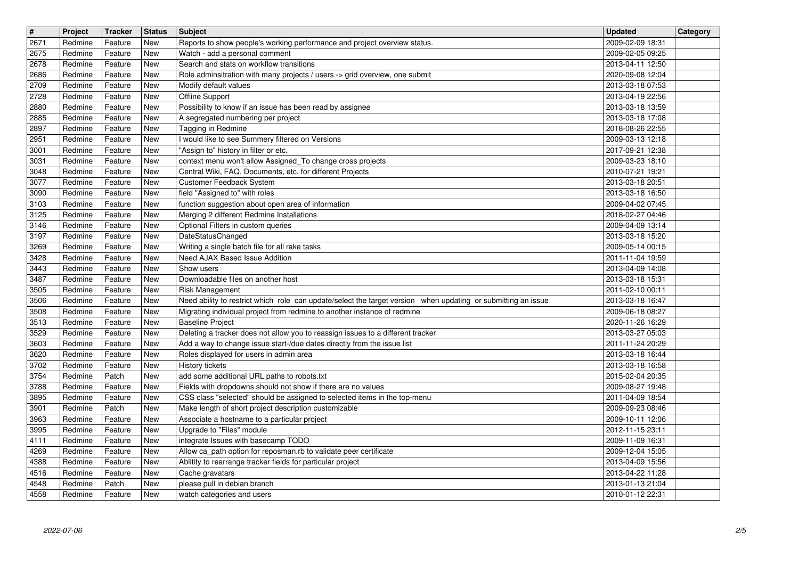| $\overline{\mathbf{H}}$<br>2671 | Project<br>Redmine | <b>Tracker</b><br>Feature | <b>Status</b><br>New | <b>Subject</b>                                                                                                                     | <b>Updated</b><br>2009-02-09 18:31   | Category |
|---------------------------------|--------------------|---------------------------|----------------------|------------------------------------------------------------------------------------------------------------------------------------|--------------------------------------|----------|
| 2675                            | Redmine            | Feature                   | New                  | Reports to show people's working performance and project overview status.<br>Watch - add a personal comment                        | 2009-02-05 09:25                     |          |
| 2678<br>2686                    | Redmine<br>Redmine | Feature<br>Feature        | New<br>New           | Search and stats on workflow transitions<br>Role adminsitration with many projects / users -> grid overview, one submit            | 2013-04-11 12:50<br>2020-09-08 12:04 |          |
| 2709                            | Redmine            | Feature                   | New                  | Modify default values                                                                                                              | 2013-03-18 07:53                     |          |
| 2728<br>2880                    | Redmine<br>Redmine | Feature<br>Feature        | New<br>New           | Offline Support<br>Possibility to know if an issue has been read by assignee                                                       | 2013-04-19 22:56<br>2013-03-18 13:59 |          |
| 2885                            | Redmine            | Feature                   | New                  | A segregated numbering per project<br>Tagging in Redmine                                                                           | 2013-03-18 17:08                     |          |
| 2897<br>2951                    | Redmine<br>Redmine | Feature<br>Feature        | New<br><b>New</b>    | I would like to see Summery filtered on Versions                                                                                   | 2018-08-26 22:55<br>2009-03-13 12:18 |          |
| 3001<br>3031                    | Redmine<br>Redmine | Feature<br>Feature        | New<br>New           | "Assign to" history in filter or etc.<br>context menu won't allow Assigned_To change cross projects                                | 2017-09-21 12:38<br>2009-03-23 18:10 |          |
| 3048                            | Redmine            | Feature                   | New                  | Central Wiki, FAQ, Documents, etc. for different Projects                                                                          | 2010-07-21 19:21                     |          |
| 3077<br>3090                    | Redmine<br>Redmine | Feature<br>Feature        | New<br>New           | Customer Feedback System<br>field "Assigned to" with roles                                                                         | 2013-03-18 20:51<br>2013-03-18 16:50 |          |
| 3103<br>3125                    | Redmine<br>Redmine | Feature<br>Feature        | New<br>New           | function suggestion about open area of information<br>Merging 2 different Redmine Installations                                    | 2009-04-02 07:45<br>2018-02-27 04:46 |          |
| 3146                            | Redmine            | Feature                   | New                  | Optional Filters in custom queries                                                                                                 | 2009-04-09 13:14                     |          |
| 3197<br>3269                    | Redmine<br>Redmine | Feature<br>Feature        | New<br>New           | <b>DateStatusChanged</b><br>Writing a single batch file for all rake tasks                                                         | 2013-03-18 15:20<br>2009-05-14 00:15 |          |
| 3428<br>3443                    | Redmine<br>Redmine | Feature<br>Feature        | New<br>New           | Need AJAX Based Issue Addition<br>Show users                                                                                       | 2011-11-04 19:59<br>2013-04-09 14:08 |          |
| 3487                            | Redmine            | Feature                   | New                  | Downloadable files on another host                                                                                                 | 2013-03-18 15:31                     |          |
| 3505<br>3506                    | Redmine<br>Redmine | Feature<br>Feature        | New<br>New           | Risk Management<br>Need ability to restrict which role can update/select the target version when updating or submitting an issue   | 2011-02-10 00:11<br>2013-03-18 16:47 |          |
| 3508<br>3513                    | Redmine<br>Redmine | Feature<br>Feature        | New<br>New           | Migrating individual project from redmine to another instance of redmine<br><b>Baseline Project</b>                                | 2009-06-18 08:27<br>2020-11-26 16:29 |          |
| 3529                            | Redmine            | Feature                   | New                  | Deleting a tracker does not allow you to reassign issues to a different tracker                                                    | 2013-03-27 05:03                     |          |
| 3603<br>3620                    | Redmine<br>Redmine | Feature<br>Feature        | New<br>New           | Add a way to change issue start-/due dates directly from the issue list<br>Roles displayed for users in admin area                 | 2011-11-24 20:29<br>2013-03-18 16:44 |          |
| 3702<br>3754                    | Redmine<br>Redmine | Feature<br>Patch          | New<br>New           | History tickets<br>add some additional URL paths to robots.txt                                                                     | 2013-03-18 16:58<br>2015-02-04 20:35 |          |
| 3788                            | Redmine            | Feature                   | New                  | Fields with dropdowns should not show if there are no values                                                                       | 2009-08-27 19:48                     |          |
| 3895<br>3901                    | Redmine<br>Redmine | Feature<br>Patch          | New<br>New           | CSS class "selected" should be assigned to selected items in the top-menu<br>Make length of short project description customizable | 2011-04-09 18:54<br>2009-09-23 08:46 |          |
| 3963                            | Redmine            | Feature                   | New                  | Associate a hostname to a particular project                                                                                       | 2009-10-11 12:06                     |          |
| 3995<br>4111                    | Redmine<br>Redmine | Feature<br>Feature        | New<br>New           | Upgrade to "Files" module<br>integrate Issues with basecamp TODO                                                                   | 2012-11-15 23:11<br>2009-11-09 16:31 |          |
| 4269<br>4388                    | Redmine<br>Redmine | Feature<br>Feature        | New<br>New           | Allow ca_path option for reposman.rb to validate peer certificate<br>Ablitity to rearrange tracker fields for particular project   | 2009-12-04 15:05<br>2013-04-09 15:56 |          |
| 4516                            | Redmine            | Feature                   | New                  | Cache gravatars                                                                                                                    | 2013-04-22 11:28                     |          |
| 4548<br>4558                    | Redmine<br>Redmine | Patch<br>Feature          | New<br>New           | please pull in debian branch<br>watch categories and users                                                                         | 2013-01-13 21:04<br>2010-01-12 22:31 |          |
|                                 |                    |                           |                      |                                                                                                                                    |                                      |          |
|                                 |                    |                           |                      |                                                                                                                                    |                                      |          |
|                                 |                    |                           |                      |                                                                                                                                    |                                      |          |
|                                 |                    |                           |                      |                                                                                                                                    |                                      |          |
|                                 |                    |                           |                      |                                                                                                                                    |                                      |          |
|                                 |                    |                           |                      |                                                                                                                                    |                                      |          |
|                                 |                    |                           |                      |                                                                                                                                    |                                      |          |
|                                 |                    |                           |                      |                                                                                                                                    |                                      |          |
|                                 |                    |                           |                      |                                                                                                                                    |                                      |          |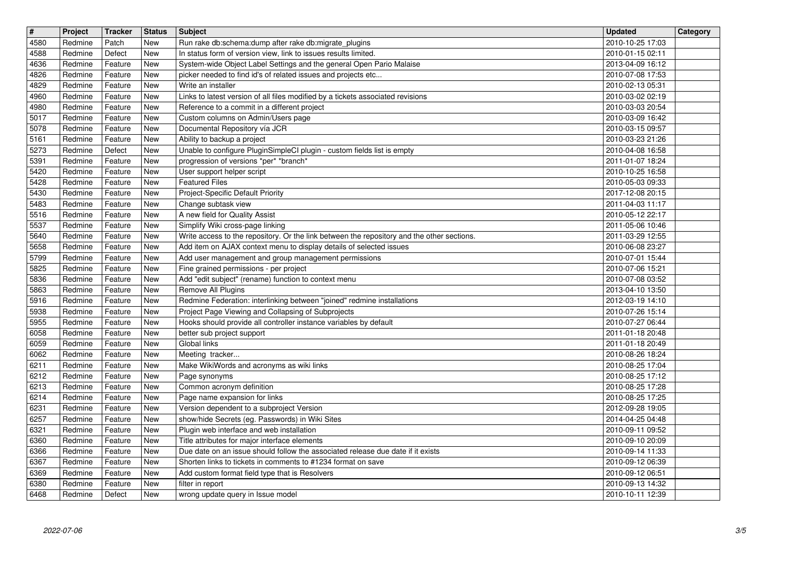| $\overline{\mathbf{H}}$<br>4580 | Project<br>Redmine | <b>Tracker</b><br>Patch | <b>Status</b><br><b>New</b> | <b>Subject</b><br>Run rake db:schema:dump after rake db:migrate_plugins                                                                                           | <b>Updated</b><br>2010-10-25 17:03   | Category |
|---------------------------------|--------------------|-------------------------|-----------------------------|-------------------------------------------------------------------------------------------------------------------------------------------------------------------|--------------------------------------|----------|
| 4588                            | Redmine            | Defect                  | New                         | In status form of version view, link to issues results limited.                                                                                                   | 2010-01-15 02:11                     |          |
| 4636<br>4826                    | Redmine<br>Redmine | Feature<br>Feature      | New<br>New                  | System-wide Object Label Settings and the general Open Pario Malaise<br>picker needed to find id's of related issues and projects etc                             | 2013-04-09 16:12<br>2010-07-08 17:53 |          |
| 4829                            | Redmine            | Feature                 | New                         | Write an installer                                                                                                                                                | 2010-02-13 05:31                     |          |
| 4960<br>4980                    | Redmine<br>Redmine | Feature<br>Feature      | New<br>New                  | Links to latest version of all files modified by a tickets associated revisions<br>Reference to a commit in a different project                                   | 2010-03-02 02:19<br>2010-03-03 20:54 |          |
| 5017<br>5078                    | Redmine<br>Redmine | Feature<br>Feature      | New<br>New                  | Custom columns on Admin/Users page<br>Documental Repository vía JCR                                                                                               | 2010-03-09 16:42<br>2010-03-15 09:57 |          |
| 5161                            | Redmine            | Feature                 | New                         | Ability to backup a project                                                                                                                                       | 2010-03-23 21:26                     |          |
| 5273<br>5391                    | Redmine<br>Redmine | Defect<br>Feature       | New<br>New                  | Unable to configure PluginSimpleCI plugin - custom fields list is empty<br>progression of versions *per* *branch*                                                 | 2010-04-08 16:58<br>2011-01-07 18:24 |          |
| 5420<br>5428                    | Redmine            | Feature                 | New<br>New                  | User support helper script<br><b>Featured Files</b>                                                                                                               | 2010-10-25 16:58                     |          |
| 5430                            | Redmine<br>Redmine | Feature<br>Feature      | New                         | Project-Specific Default Priority                                                                                                                                 | 2010-05-03 09:33<br>2017-12-08 20:15 |          |
| 5483<br>5516                    | Redmine<br>Redmine | Feature<br>Feature      | New<br>New                  | Change subtask view<br>A new field for Quality Assist                                                                                                             | 2011-04-03 11:17<br>2010-05-12 22:17 |          |
| 5537                            | Redmine            | Feature                 | New                         | Simplify Wiki cross-page linking                                                                                                                                  | 2011-05-06 10:46                     |          |
| 5640<br>5658                    | Redmine<br>Redmine | Feature<br>Feature      | New<br>New                  | Write access to the repository. Or the link between the repository and the other sections.<br>Add item on AJAX context menu to display details of selected issues | 2011-03-29 12:55<br>2010-06-08 23:27 |          |
| 5799<br>5825                    | Redmine<br>Redmine | Feature<br>Feature      | New<br>New                  | Add user management and group management permissions<br>Fine grained permissions - per project                                                                    | 2010-07-01 15:44<br>2010-07-06 15:21 |          |
| 5836                            | Redmine            | Feature                 | New                         | Add "edit subject" (rename) function to context menu                                                                                                              | 2010-07-08 03:52                     |          |
| 5863<br>5916                    | Redmine<br>Redmine | Feature<br>Feature      | New<br>New                  | Remove All Plugins<br>Redmine Federation: interlinking between "joined" redmine installations                                                                     | 2013-04-10 13:50<br>2012-03-19 14:10 |          |
| 5938<br>5955                    | Redmine<br>Redmine | Feature<br>Feature      | New<br>New                  | Project Page Viewing and Collapsing of Subprojects<br>Hooks should provide all controller instance variables by default                                           | 2010-07-26 15:14<br>2010-07-27 06:44 |          |
| 6058                            | Redmine            | Feature                 | <b>New</b>                  | better sub project support                                                                                                                                        | 2011-01-18 20:48                     |          |
| 6059<br>6062                    | Redmine<br>Redmine | Feature<br>Feature      | New<br>New                  | Global links<br>Meeting tracker                                                                                                                                   | 2011-01-18 20:49<br>2010-08-26 18:24 |          |
| 6211<br>6212                    | Redmine<br>Redmine | Feature<br>Feature      | New<br>New                  | Make WikiWords and acronyms as wiki links<br>Page synonyms                                                                                                        | 2010-08-25 17:04<br>2010-08-25 17:12 |          |
| 6213                            | Redmine            | Feature                 | New                         | Common acronym definition                                                                                                                                         | 2010-08-25 17:28                     |          |
| 6214<br>6231                    | Redmine<br>Redmine | Feature<br>Feature      | New<br>New                  | Page name expansion for links<br>Version dependent to a subproject Version                                                                                        | 2010-08-25 17:25<br>2012-09-28 19:05 |          |
| 6257                            | Redmine            | Feature                 | New                         | show/hide Secrets (eg. Passwords) in Wiki Sites                                                                                                                   | 2014-04-25 04:48                     |          |
| 6321<br>6360                    | Redmine<br>Redmine | Feature<br>Feature      | New<br>New                  | Plugin web interface and web installation<br>Title attributes for major interface elements                                                                        | 2010-09-11 09:52<br>2010-09-10 20:09 |          |
| 6366<br>6367                    | Redmine<br>Redmine | Feature<br>Feature      | New<br>New                  | Due date on an issue should follow the associated release due date if it exists<br>Shorten links to tickets in comments to #1234 format on save                   | 2010-09-14 11:33<br>2010-09-12 06:39 |          |
| 6369                            | Redmine            | Feature                 | New                         | Add custom format field type that is Resolvers                                                                                                                    | 2010-09-12 06:51                     |          |
| 6380<br>6468                    | Redmine<br>Redmine | Feature<br>Defect       | New<br>New                  | filter in report<br>wrong update query in Issue model                                                                                                             | 2010-09-13 14:32<br>2010-10-11 12:39 |          |
|                                 |                    |                         |                             |                                                                                                                                                                   |                                      |          |
|                                 |                    |                         |                             |                                                                                                                                                                   |                                      |          |
|                                 |                    |                         |                             |                                                                                                                                                                   |                                      |          |
|                                 |                    |                         |                             |                                                                                                                                                                   |                                      |          |
|                                 |                    |                         |                             |                                                                                                                                                                   |                                      |          |
|                                 |                    |                         |                             |                                                                                                                                                                   |                                      |          |
|                                 |                    |                         |                             |                                                                                                                                                                   |                                      |          |
|                                 |                    |                         |                             |                                                                                                                                                                   |                                      |          |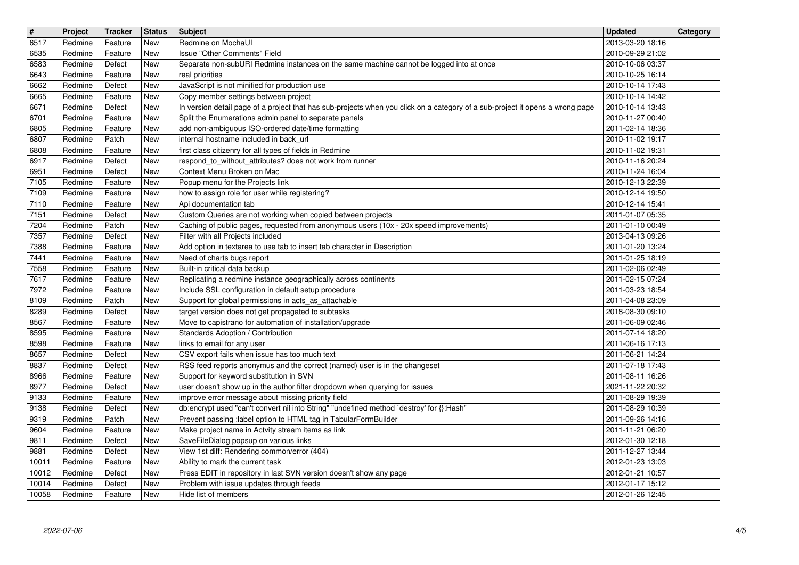| $\sqrt{t}$<br>6517 | Project<br>Redmine | Tracker<br>Feature | <b>Status</b><br>New | <b>Subject</b><br>Redmine on MochaUI                                                                                                                                  | <b>Updated</b><br>2013-03-20 18:16   | Category |
|--------------------|--------------------|--------------------|----------------------|-----------------------------------------------------------------------------------------------------------------------------------------------------------------------|--------------------------------------|----------|
| 6535               | Redmine            | Feature            | New                  | <b>Issue "Other Comments" Field</b>                                                                                                                                   | 2010-09-29 21:02                     |          |
| 6583<br>6643       | Redmine<br>Redmine | Defect<br>Feature  | New<br>New           | Separate non-subURI Redmine instances on the same machine cannot be logged into at once<br>real priorities                                                            | 2010-10-06 03:37<br>2010-10-25 16:14 |          |
| 6662               | Redmine            | Defect             | New                  | JavaScript is not minified for production use                                                                                                                         | 2010-10-14 17:43                     |          |
| 6665<br>6671       | Redmine<br>Redmine | Feature<br>Defect  | New<br>New           | Copy member settings between project<br>In version detail page of a project that has sub-projects when you click on a category of a sub-project it opens a wrong page | 2010-10-14 14:42<br>2010-10-14 13:43 |          |
| 6701<br>6805       | Redmine<br>Redmine | Feature<br>Feature | New<br>New           | Split the Enumerations admin panel to separate panels<br>add non-ambiguous ISO-ordered date/time formatting                                                           | 2010-11-27 00:40<br>2011-02-14 18:36 |          |
| 6807               | Redmine            | Patch              | <b>New</b>           | internal hostname included in back_url                                                                                                                                | 2010-11-02 19:17                     |          |
| 6808<br>6917       | Redmine<br>Redmine | Feature<br>Defect  | New<br>New           | first class citizenry for all types of fields in Redmine<br>respond_to_without_attributes? does not work from runner                                                  | 2010-11-02 19:31<br>2010-11-16 20:24 |          |
| 6951               | Redmine            | Defect             | New                  | Context Menu Broken on Mac                                                                                                                                            | 2010-11-24 16:04                     |          |
| 7105<br>7109       | Redmine<br>Redmine | Feature<br>Feature | New<br>New           | Popup menu for the Projects link<br>how to assign role for user while registering?                                                                                    | 2010-12-13 22:39<br>2010-12-14 19:50 |          |
| 7110<br>7151       | Redmine<br>Redmine | Feature<br>Defect  | New<br>New           | Api documentation tab<br>Custom Queries are not working when copied between projects                                                                                  | 2010-12-14 15:41<br>2011-01-07 05:35 |          |
| 7204               | Redmine            | Patch              | <b>New</b>           | Caching of public pages, requested from anonymous users (10x - 20x speed improvements)                                                                                | 2011-01-10 00:49                     |          |
| 7357<br>7388       | Redmine<br>Redmine | Defect<br>Feature  | New<br>New           | Filter with all Projects included<br>Add option in textarea to use tab to insert tab character in Description                                                         | 2013-04-13 09:26<br>2011-01-20 13:24 |          |
| 7441<br>7558       | Redmine<br>Redmine | Feature<br>Feature | New<br>New           | Need of charts bugs report<br>Built-in critical data backup                                                                                                           | 2011-01-25 18:19<br>2011-02-06 02:49 |          |
| 7617               | Redmine            | Feature            | New                  | Replicating a redmine instance geographically across continents                                                                                                       | 2011-02-15 07:24                     |          |
| 7972<br>8109       | Redmine<br>Redmine | Feature<br>Patch   | New<br>New           | Include SSL configuration in default setup procedure<br>Support for global permissions in acts_as_attachable                                                          | 2011-03-23 18:54<br>2011-04-08 23:09 |          |
| 8289<br>8567       | Redmine<br>Redmine | Defect<br>Feature  | New<br>New           | target version does not get propagated to subtasks<br>Move to capistrano for automation of installation/upgrade                                                       | 2018-08-30 09:10<br>2011-06-09 02:46 |          |
| 8595               | Redmine            | Feature            | <b>New</b>           | Standards Adoption / Contribution                                                                                                                                     | 2011-07-14 18:20                     |          |
| 8598<br>8657       | Redmine<br>Redmine | Feature<br>Defect  | New<br>New           | links to email for any user<br>CSV export fails when issue has too much text                                                                                          | 2011-06-16 17:13<br>2011-06-21 14:24 |          |
| 8837<br>8966       | Redmine<br>Redmine | Defect<br>Feature  | New<br>New           | RSS feed reports anonymus and the correct (named) user is in the changeset<br>Support for keyword substitution in SVN                                                 | 2011-07-18 17:43<br>2011-08-11 16:26 |          |
| 8977               | Redmine            | Defect             | New                  | user doesn't show up in the author filter dropdown when querying for issues                                                                                           | 2021-11-22 20:32                     |          |
| 9133<br>9138       | Redmine<br>Redmine | Feature<br>Defect  | New<br>New           | improve error message about missing priority field<br>db:encrypt used "can't convert nil into String" "undefined method `destroy' for {}:Hash"                        | 2011-08-29 19:39<br>2011-08-29 10:39 |          |
| 9319               | Redmine            | Patch              | New                  | Prevent passing :label option to HTML tag in TabularFormBuilder                                                                                                       | 2011-09-26 14:16                     |          |
| 9604<br>9811       | Redmine<br>Redmine | Feature<br>Defect  | New<br>New           | Make project name in Actvity stream items as link<br>SaveFileDialog popsup on various links                                                                           | 2011-11-21 06:20<br>2012-01-30 12:18 |          |
| 9881<br>10011      | Redmine<br>Redmine | Defect<br>Feature  | New<br>New           | View 1st diff: Rendering common/error (404)<br>Ability to mark the current task                                                                                       | 2011-12-27 13:44<br>2012-01-23 13:03 |          |
| 10012              | Redmine            | Defect             | New                  | Press EDIT in repository in last SVN version doesn't show any page<br>Problem with issue updates through feeds                                                        | 2012-01-21 10:57                     |          |
| 10014<br>10058     | Redmine<br>Redmine | Defect<br>Feature  | New<br>New           | Hide list of members                                                                                                                                                  | 2012-01-17 15:12<br>2012-01-26 12:45 |          |
|                    |                    |                    |                      |                                                                                                                                                                       |                                      |          |
|                    |                    |                    |                      |                                                                                                                                                                       |                                      |          |
|                    |                    |                    |                      |                                                                                                                                                                       |                                      |          |
|                    |                    |                    |                      |                                                                                                                                                                       |                                      |          |
|                    |                    |                    |                      |                                                                                                                                                                       |                                      |          |
|                    |                    |                    |                      |                                                                                                                                                                       |                                      |          |
|                    |                    |                    |                      |                                                                                                                                                                       |                                      |          |